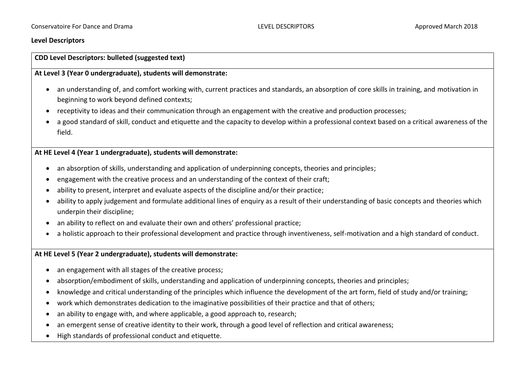### **Level Descriptors**

# **CDD Level Descriptors: bulleted (suggested text)**

### **At Level 3 (Year 0 undergraduate), students will demonstrate:**

- an understanding of, and comfort working with, current practices and standards, an absorption of core skills in training, and motivation in beginning to work beyond defined contexts;
- receptivity to ideas and their communication through an engagement with the creative and production processes;
- a good standard of skill, conduct and etiquette and the capacity to develop within a professional context based on a critical awareness of the field.

# **At HE Level 4 (Year 1 undergraduate), students will demonstrate:**

- an absorption of skills, understanding and application of underpinning concepts, theories and principles;
- engagement with the creative process and an understanding of the context of their craft;
- ability to present, interpret and evaluate aspects of the discipline and/or their practice;
- ability to apply judgement and formulate additional lines of enquiry as a result of their understanding of basic concepts and theories which underpin their discipline;
- an ability to reflect on and evaluate their own and others' professional practice;
- a holistic approach to their professional development and practice through inventiveness, self-motivation and a high standard of conduct.

# **At HE Level 5 (Year 2 undergraduate), students will demonstrate:**

- an engagement with all stages of the creative process:
- absorption/embodiment of skills, understanding and application of underpinning concepts, theories and principles;
- knowledge and critical understanding of the principles which influence the development of the art form, field of study and/or training;
- work which demonstrates dedication to the imaginative possibilities of their practice and that of others;
- an ability to engage with, and where applicable, a good approach to, research;
- an emergent sense of creative identity to their work, through a good level of reflection and critical awareness;
- High standards of professional conduct and etiquette.